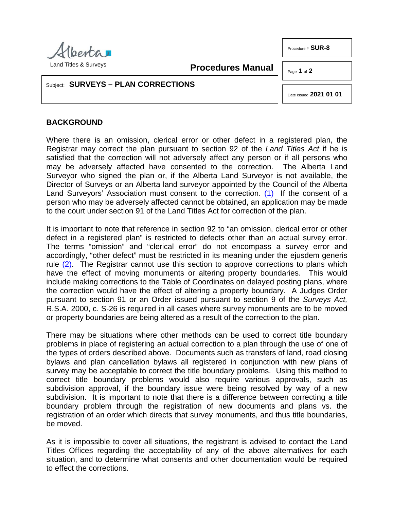

Land Titles & Surveys

**Procedures Manual**

Page **1** of **2**

Procedure # **SUR-8**

## Subject: **SURVEYS – PLAN CORRECTIONS**

<span id="page-0-0"></span>Date Issued **2021 01 01**

## **BACKGROUND**

Where there is an omission, clerical error or other defect in a registered plan, the Registrar may correct the plan pursuant to section 92 of the *Land Titles Act* if he is satisfied that the correction will not adversely affect any person or if all persons who may be adversely affected have consented to the correction. The Alberta Land Surveyor who signed the plan or, if the Alberta Land Surveyor is not available, the Director of Surveys or an Alberta land surveyor appointed by the Council of the Alberta Land Surveyors' Association must consent to the correction. [\(1\)](#page-1-0) If the consent of a person who may be adversely affected cannot be obtained, an application may be made to the court under section 91 of the Land Titles Act for correction of the plan.

<span id="page-0-1"></span>It is important to note that reference in section 92 to "an omission, clerical error or other defect in a registered plan" is restricted to defects other than an actual survey error. The terms "omission" and "clerical error" do not encompass a survey error and accordingly, "other defect" must be restricted in its meaning under the ejusdem generis rule [\(2\).](#page-1-1) The Registrar cannot use this section to approve corrections to plans which have the effect of moving monuments or altering property boundaries. This would include making corrections to the Table of Coordinates on delayed posting plans, where the correction would have the effect of altering a property boundary. A Judges Order pursuant to section 91 or an Order issued pursuant to section 9 of the *Surveys Act,* R.S.A. 2000, c. S-26 is required in all cases where survey monuments are to be moved or property boundaries are being altered as a result of the correction to the plan.

There may be situations where other methods can be used to correct title boundary problems in place of registering an actual correction to a plan through the use of one of the types of orders described above. Documents such as transfers of land, road closing bylaws and plan cancellation bylaws all registered in conjunction with new plans of survey may be acceptable to correct the title boundary problems. Using this method to correct title boundary problems would also require various approvals, such as subdivision approval, if the boundary issue were being resolved by way of a new subdivision. It is important to note that there is a difference between correcting a title boundary problem through the registration of new documents and plans vs. the registration of an order which directs that survey monuments, and thus title boundaries, be moved.

As it is impossible to cover all situations, the registrant is advised to contact the Land Titles Offices regarding the acceptability of any of the above alternatives for each situation, and to determine what consents and other documentation would be required to effect the corrections.